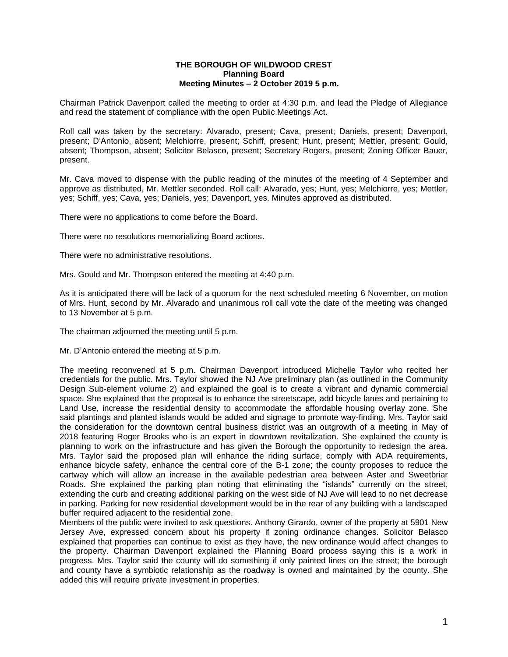## **THE BOROUGH OF WILDWOOD CREST Planning Board Meeting Minutes – 2 October 2019 5 p.m.**

Chairman Patrick Davenport called the meeting to order at 4:30 p.m. and lead the Pledge of Allegiance and read the statement of compliance with the open Public Meetings Act.

Roll call was taken by the secretary: Alvarado, present; Cava, present; Daniels, present; Davenport, present; D'Antonio, absent; Melchiorre, present; Schiff, present; Hunt, present; Mettler, present; Gould, absent; Thompson, absent; Solicitor Belasco, present; Secretary Rogers, present; Zoning Officer Bauer, present.

Mr. Cava moved to dispense with the public reading of the minutes of the meeting of 4 September and approve as distributed, Mr. Mettler seconded. Roll call: Alvarado, yes; Hunt, yes; Melchiorre, yes; Mettler, yes; Schiff, yes; Cava, yes; Daniels, yes; Davenport, yes. Minutes approved as distributed.

There were no applications to come before the Board.

There were no resolutions memorializing Board actions.

There were no administrative resolutions.

Mrs. Gould and Mr. Thompson entered the meeting at 4:40 p.m.

As it is anticipated there will be lack of a quorum for the next scheduled meeting 6 November, on motion of Mrs. Hunt, second by Mr. Alvarado and unanimous roll call vote the date of the meeting was changed to 13 November at 5 p.m.

The chairman adjourned the meeting until 5 p.m.

Mr. D'Antonio entered the meeting at 5 p.m.

The meeting reconvened at 5 p.m. Chairman Davenport introduced Michelle Taylor who recited her credentials for the public. Mrs. Taylor showed the NJ Ave preliminary plan (as outlined in the Community Design Sub-element volume 2) and explained the goal is to create a vibrant and dynamic commercial space. She explained that the proposal is to enhance the streetscape, add bicycle lanes and pertaining to Land Use, increase the residential density to accommodate the affordable housing overlay zone. She said plantings and planted islands would be added and signage to promote way-finding. Mrs. Taylor said the consideration for the downtown central business district was an outgrowth of a meeting in May of 2018 featuring Roger Brooks who is an expert in downtown revitalization. She explained the county is planning to work on the infrastructure and has given the Borough the opportunity to redesign the area. Mrs. Taylor said the proposed plan will enhance the riding surface, comply with ADA requirements, enhance bicycle safety, enhance the central core of the B-1 zone; the county proposes to reduce the cartway which will allow an increase in the available pedestrian area between Aster and Sweetbriar Roads. She explained the parking plan noting that eliminating the "islands" currently on the street, extending the curb and creating additional parking on the west side of NJ Ave will lead to no net decrease in parking. Parking for new residential development would be in the rear of any building with a landscaped buffer required adjacent to the residential zone.

Members of the public were invited to ask questions. Anthony Girardo, owner of the property at 5901 New Jersey Ave, expressed concern about his property if zoning ordinance changes. Solicitor Belasco explained that properties can continue to exist as they have, the new ordinance would affect changes to the property. Chairman Davenport explained the Planning Board process saying this is a work in progress. Mrs. Taylor said the county will do something if only painted lines on the street; the borough and county have a symbiotic relationship as the roadway is owned and maintained by the county. She added this will require private investment in properties.